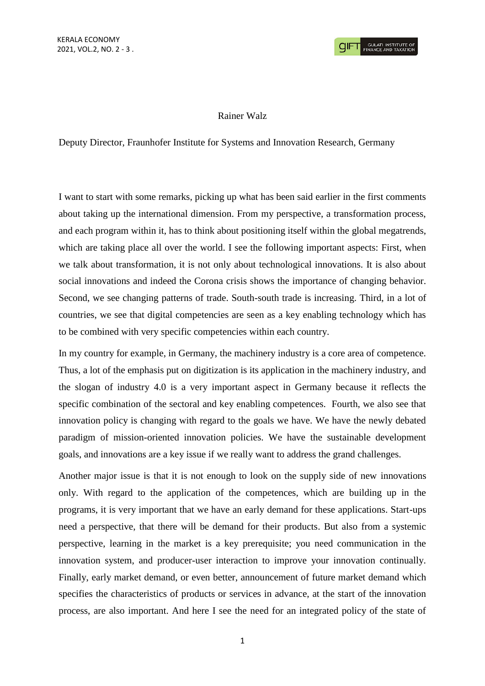## Rainer Walz

Deputy Director, Fraunhofer Institute for Systems and Innovation Research, Germany

I want to start with some remarks, picking up what has been said earlier in the first comments about taking up the international dimension. From my perspective, a transformation process, and each program within it, has to think about positioning itself within the global megatrends, which are taking place all over the world. I see the following important aspects: First, when we talk about transformation, it is not only about technological innovations. It is also about social innovations and indeed the Corona crisis shows the importance of changing behavior. Second, we see changing patterns of trade. South-south trade is increasing. Third, in a lot of countries, we see that digital competencies are seen as a key enabling technology which has to be combined with very specific competencies within each country.

In my country for example, in Germany, the machinery industry is a core area of competence. Thus, a lot of the emphasis put on digitization is its application in the machinery industry, and the slogan of industry 4.0 is a very important aspect in Germany because it reflects the specific combination of the sectoral and key enabling competences. Fourth, we also see that innovation policy is changing with regard to the goals we have. We have the newly debated paradigm of mission-oriented innovation policies. We have the sustainable development goals, and innovations are a key issue if we really want to address the grand challenges.

Another major issue is that it is not enough to look on the supply side of new innovations only. With regard to the application of the competences, which are building up in the programs, it is very important that we have an early demand for these applications. Start-ups need a perspective, that there will be demand for their products. But also from a systemic perspective, learning in the market is a key prerequisite; you need communication in the innovation system, and producer-user interaction to improve your innovation continually. Finally, early market demand, or even better, announcement of future market demand which specifies the characteristics of products or services in advance, at the start of the innovation process, are also important. And here I see the need for an integrated policy of the state of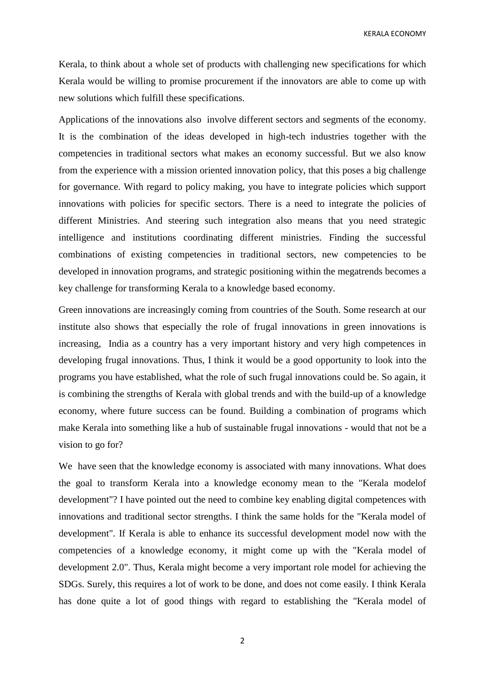KERALA ECONOMY

Kerala, to think about a whole set of products with challenging new specifications for which Kerala would be willing to promise procurement if the innovators are able to come up with new solutions which fulfill these specifications.

Applications of the innovations also involve different sectors and segments of the economy. It is the combination of the ideas developed in high-tech industries together with the competencies in traditional sectors what makes an economy successful. But we also know from the experience with a mission oriented innovation policy, that this poses a big challenge for governance. With regard to policy making, you have to integrate policies which support innovations with policies for specific sectors. There is a need to integrate the policies of different Ministries. And steering such integration also means that you need strategic intelligence and institutions coordinating different ministries. Finding the successful combinations of existing competencies in traditional sectors, new competencies to be developed in innovation programs, and strategic positioning within the megatrends becomes a key challenge for transforming Kerala to a knowledge based economy.

Green innovations are increasingly coming from countries of the South. Some research at our institute also shows that especially the role of frugal innovations in green innovations is increasing, India as a country has a very important history and very high competences in developing frugal innovations. Thus, I think it would be a good opportunity to look into the programs you have established, what the role of such frugal innovations could be. So again, it is combining the strengths of Kerala with global trends and with the build-up of a knowledge economy, where future success can be found. Building a combination of programs which make Kerala into something like a hub of sustainable frugal innovations - would that not be a vision to go for?

We have seen that the knowledge economy is associated with many innovations. What does the goal to transform Kerala into a knowledge economy mean to the "Kerala modelof development"? I have pointed out the need to combine key enabling digital competences with innovations and traditional sector strengths. I think the same holds for the "Kerala model of development". If Kerala is able to enhance its successful development model now with the competencies of a knowledge economy, it might come up with the "Kerala model of development 2.0". Thus, Kerala might become a very important role model for achieving the SDGs. Surely, this requires a lot of work to be done, and does not come easily. I think Kerala has done quite a lot of good things with regard to establishing the "Kerala model of